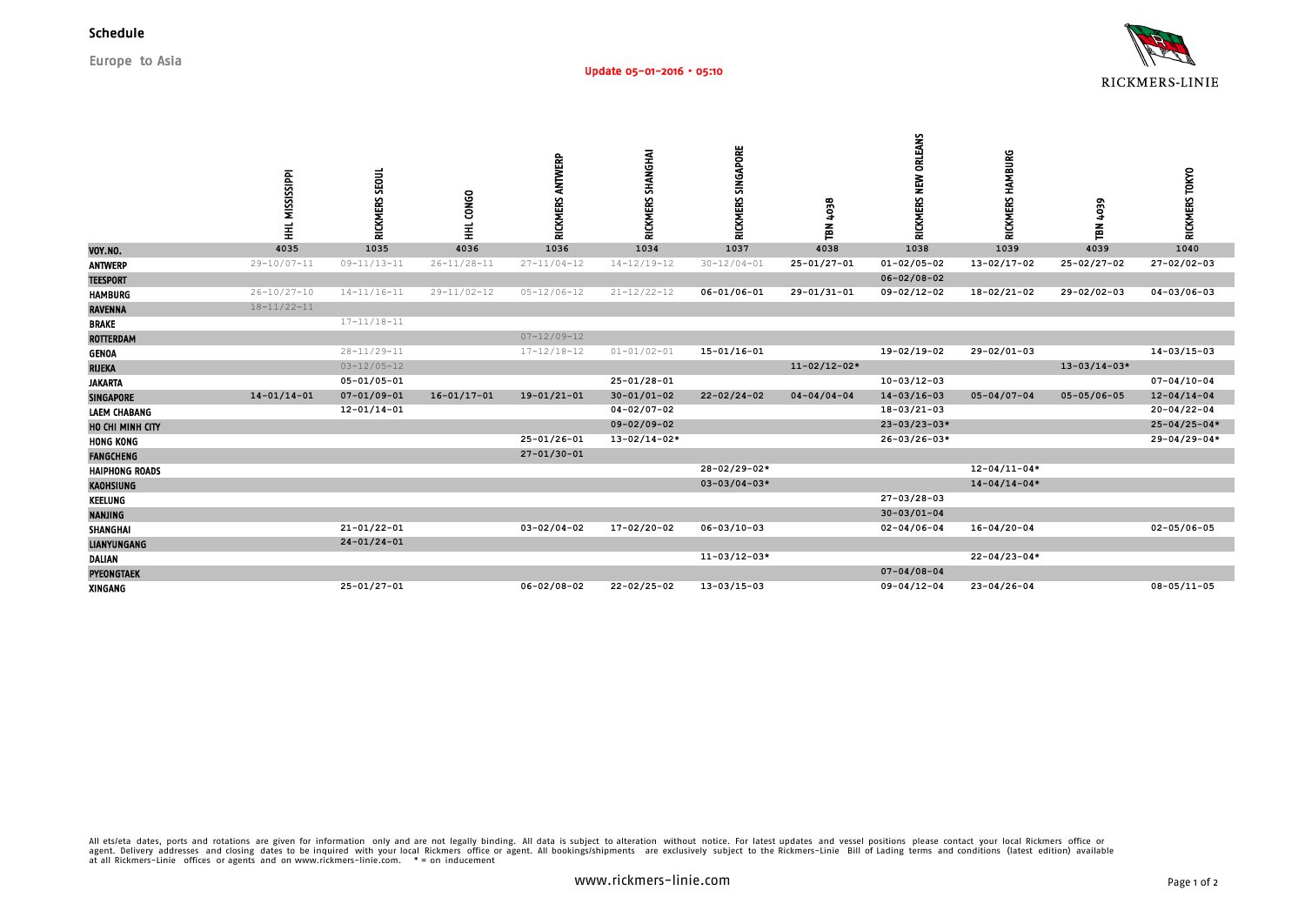

**Europe to Asia**

|                       | HHL MISSISSIPPI   | RICKMERS SEOUL    | HHL CONGO         | RICKMERS ANTWERP  | RICKMERS SHANGHAI  | RICKMERS SINGAPORE | 4038<br>TBN        | RICKMERS NEW ORLEANS | RICKMERS HAMBURG   | TBN 4039           | RICKMERS TOKYO     |
|-----------------------|-------------------|-------------------|-------------------|-------------------|--------------------|--------------------|--------------------|----------------------|--------------------|--------------------|--------------------|
| VOY.NO.               | 4035              | 1035              | 4036              | 1036              | 1034               | 1037               | 4038               | 1038                 | 1039               | 4039               | 1040               |
| <b>ANTWERP</b>        | $29 - 10/07 - 11$ | $09 - 11/13 - 11$ | $26 - 11/28 - 11$ | $27 - 11/04 - 12$ | $14 - 12/19 - 12$  | $30 - 12/04 - 01$  | $25 - 01/27 - 01$  | $01 - 02/05 - 02$    | $13 - 02/17 - 02$  | $25 - 02/27 - 02$  | $27 - 02/02 - 03$  |
| <b>TEESPORT</b>       |                   |                   |                   |                   |                    |                    |                    | $06 - 02/08 - 02$    |                    |                    |                    |
| <b>HAMBURG</b>        | $26 - 10/27 - 10$ | $14 - 11/16 - 11$ | $29 - 11/02 - 12$ | $05 - 12/06 - 12$ | $21 - 12/22 - 12$  | $06 - 01/06 - 01$  | $29 - 01/31 - 01$  | $09 - 02/12 - 02$    | $18 - 02/21 - 02$  | $29 - 02/02 - 03$  | $04 - 03/06 - 03$  |
| <b>RAVENNA</b>        | $18 - 11/22 - 11$ |                   |                   |                   |                    |                    |                    |                      |                    |                    |                    |
| <b>BRAKE</b>          |                   | $17 - 11/18 - 11$ |                   |                   |                    |                    |                    |                      |                    |                    |                    |
| <b>ROTTERDAM</b>      |                   |                   |                   | $07 - 12/09 - 12$ |                    |                    |                    |                      |                    |                    |                    |
| <b>GENOA</b>          |                   | $28 - 11/29 - 11$ |                   | $17 - 12/18 - 12$ | $01 - 01/02 - 01$  | $15 - 01/16 - 01$  |                    | 19-02/19-02          | 29-02/01-03        |                    | $14 - 03/15 - 03$  |
| <b>RIJEKA</b>         |                   | $03 - 12/05 - 12$ |                   |                   |                    |                    | $11 - 02/12 - 02*$ |                      |                    | $13 - 03/14 - 03*$ |                    |
| <b>JAKARTA</b>        |                   | $05 - 01/05 - 01$ |                   |                   | $25 - 01/28 - 01$  |                    |                    | $10 - 03/12 - 03$    |                    |                    | $07 - 04/10 - 04$  |
| <b>SINGAPORE</b>      | $14 - 01/14 - 01$ | $07 - 01/09 - 01$ | $16 - 01/17 - 01$ | $19 - 01/21 - 01$ | $30 - 01/01 - 02$  | $22 - 02/24 - 02$  | $04 - 04/04 - 04$  | $14 - 03/16 - 03$    | $05 - 04/07 - 04$  | $05 - 05/06 - 05$  | $12 - 04/14 - 04$  |
| <b>LAEM CHABANG</b>   |                   | $12 - 01/14 - 01$ |                   |                   | $04 - 02/07 - 02$  |                    |                    | $18 - 03/21 - 03$    |                    |                    | $20 - 04/22 - 04$  |
| HO CHI MINH CITY      |                   |                   |                   |                   | $09 - 02/09 - 02$  |                    |                    | $23 - 03/23 - 03*$   |                    |                    | $25 - 04/25 - 04*$ |
| <b>HONG KONG</b>      |                   |                   |                   | $25 - 01/26 - 01$ | $13 - 02/14 - 02*$ |                    |                    | $26 - 03/26 - 03*$   |                    |                    | $29 - 04/29 - 04*$ |
| <b>FANGCHENG</b>      |                   |                   |                   | $27 - 01/30 - 01$ |                    |                    |                    |                      |                    |                    |                    |
| <b>HAIPHONG ROADS</b> |                   |                   |                   |                   |                    | 28-02/29-02*       |                    |                      | $12 - 04/11 - 04*$ |                    |                    |
| KAOHSIUNG             |                   |                   |                   |                   |                    | $03 - 03/04 - 03*$ |                    |                      | $14 - 04/14 - 04*$ |                    |                    |
| KEELUNG               |                   |                   |                   |                   |                    |                    |                    | $27 - 03 / 28 - 03$  |                    |                    |                    |
| <b>NANJING</b>        |                   |                   |                   |                   |                    |                    |                    | $30 - 03/01 - 04$    |                    |                    |                    |
| SHANGHAI              |                   | $21 - 01/22 - 01$ |                   | $03 - 02/04 - 02$ | 17-02/20-02        | $06 - 03/10 - 03$  |                    | $02 - 04/06 - 04$    | $16 - 04/20 - 04$  |                    | $02 - 05/06 - 05$  |
| <b>LIANYUNGANG</b>    |                   | $24 - 01/24 - 01$ |                   |                   |                    |                    |                    |                      |                    |                    |                    |
| <b>DALIAN</b>         |                   |                   |                   |                   |                    | $11 - 03/12 - 03*$ |                    |                      | $22 - 04/23 - 04*$ |                    |                    |
| <b>PYEONGTAEK</b>     |                   |                   |                   |                   |                    |                    |                    | $07 - 04/08 - 04$    |                    |                    |                    |
| XINGANG               |                   | $25 - 01/27 - 01$ |                   | $06 - 02/08 - 02$ | $22 - 02/25 - 02$  | $13 - 03/15 - 03$  |                    | $09 - 04/12 - 04$    | $23 - 04/26 - 04$  |                    | $08 - 05/11 - 05$  |

All ets/eta dates, ports and rotations are given for information only and are not legally binding. All data is subject to alteration without notice. For latest updates and vessel positions please contact your local Rickmer